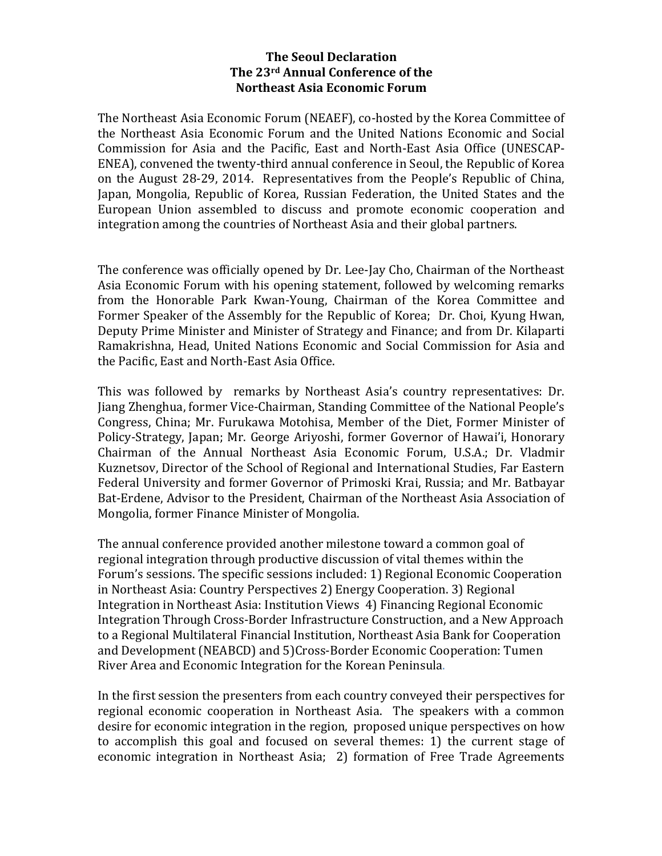## **The Seoul Declaration** The 23<sup>rd</sup> Annual Conference of the **Northeast Asia Economic Forum**

The Northeast Asia Economic Forum (NEAEF), co-hosted by the Korea Committee of the Northeast Asia Economic Forum and the United Nations Economic and Social Commission for Asia and the Pacific, East and North-East Asia Office (UNESCAP-ENEA), convened the twenty-third annual conference in Seoul, the Republic of Korea on the August 28-29, 2014. Representatives from the People's Republic of China, Japan, Mongolia, Republic of Korea, Russian Federation, the United States and the European Union assembled to discuss and promote economic cooperation and integration among the countries of Northeast Asia and their global partners.

The conference was officially opened by Dr. Lee-Jay Cho, Chairman of the Northeast Asia Economic Forum with his opening statement, followed by welcoming remarks from the Honorable Park Kwan-Young, Chairman of the Korea Committee and Former Speaker of the Assembly for the Republic of Korea; Dr. Choi, Kyung Hwan, Deputy Prime Minister and Minister of Strategy and Finance; and from Dr. Kilaparti Ramakrishna, Head, United Nations Economic and Social Commission for Asia and the Pacific, East and North-East Asia Office.

This was followed by remarks by Northeast Asia's country representatives: Dr. Jiang Zhenghua, former Vice-Chairman, Standing Committee of the National People's Congress, China; Mr. Furukawa Motohisa, Member of the Diet, Former Minister of Policy-Strategy, Japan; Mr. George Ariyoshi, former Governor of Hawai'i, Honorary Chairman of the Annual Northeast Asia Economic Forum, U.S.A.; Dr. Vladmir Kuznetsov, Director of the School of Regional and International Studies, Far Eastern Federal University and former Governor of Primoski Krai, Russia; and Mr. Batbayar Bat-Erdene, Advisor to the President, Chairman of the Northeast Asia Association of Mongolia, former Finance Minister of Mongolia.

The annual conference provided another milestone toward a common goal of regional integration through productive discussion of vital themes within the Forum's sessions. The specific sessions included: 1) Regional Economic Cooperation in Northeast Asia: Country Perspectives 2) Energy Cooperation. 3) Regional Integration in Northeast Asia: Institution Views 4) Financing Regional Economic Integration Through Cross-Border Infrastructure Construction, and a New Approach to a Regional Multilateral Financial Institution, Northeast Asia Bank for Cooperation and Development (NEABCD) and 5)Cross-Border Economic Cooperation: Tumen River Area and Economic Integration for the Korean Peninsula.

In the first session the presenters from each country conveyed their perspectives for regional economic cooperation in Northeast Asia. The speakers with a common desire for economic integration in the region, proposed unique perspectives on how to accomplish this goal and focused on several themes: 1) the current stage of economic integration in Northeast Asia; 2) formation of Free Trade Agreements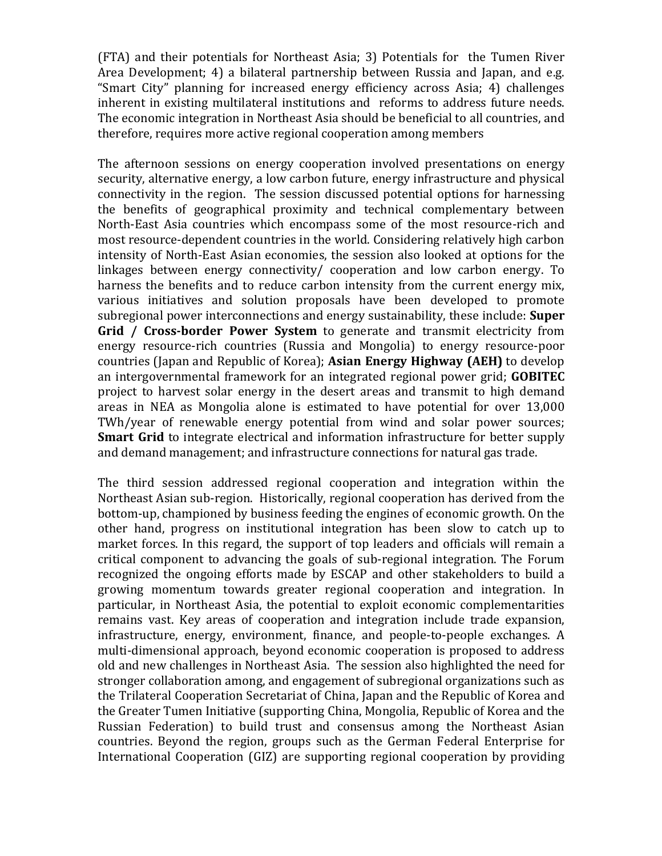(FTA) and their potentials for Northeast Asia; 3) Potentials for the Tumen River Area Development; 4) a bilateral partnership between Russia and Japan, and e.g. "Smart City" planning for increased energy efficiency across Asia; 4) challenges inherent in existing multilateral institutions and reforms to address future needs. The economic integration in Northeast Asia should be beneficial to all countries, and therefore, requires more active regional cooperation among members

The afternoon sessions on energy cooperation involved presentations on energy security, alternative energy, a low carbon future, energy infrastructure and physical connectivity in the region. The session discussed potential options for harnessing the benefits of geographical proximity and technical complementary between North-East Asia countries which encompass some of the most resource-rich and most resource-dependent countries in the world. Considering relatively high carbon intensity of North-East Asian economies, the session also looked at options for the linkages between energy connectivity/ cooperation and low carbon energy. To harness the benefits and to reduce carbon intensity from the current energy mix, various initiatives and solution proposals have been developed to promote subregional power interconnections and energy sustainability, these include: **Super Grid** / **Cross-border Power System** to generate and transmit electricity from energy resource-rich countries (Russia and Mongolia) to energy resource-poor countries (Japan and Republic of Korea); **Asian Energy Highway (AEH)** to develop an intergovernmental framework for an integrated regional power grid; **GOBITEC** project to harvest solar energy in the desert areas and transmit to high demand areas in NEA as Mongolia alone is estimated to have potential for over 13,000 TWh/year of renewable energy potential from wind and solar power sources; **Smart Grid** to integrate electrical and information infrastructure for better supply and demand management; and infrastructure connections for natural gas trade.

The third session addressed regional cooperation and integration within the Northeast Asian sub-region. Historically, regional cooperation has derived from the bottom-up, championed by business feeding the engines of economic growth. On the other hand, progress on institutional integration has been slow to catch up to market forces. In this regard, the support of top leaders and officials will remain a critical component to advancing the goals of sub-regional integration. The Forum recognized the ongoing efforts made by ESCAP and other stakeholders to build a growing momentum towards greater regional cooperation and integration. In particular, in Northeast Asia, the potential to exploit economic complementarities remains vast. Key areas of cooperation and integration include trade expansion, infrastructure, energy, environment, finance, and people-to-people exchanges. A multi-dimensional approach, beyond economic cooperation is proposed to address old and new challenges in Northeast Asia. The session also highlighted the need for stronger collaboration among, and engagement of subregional organizations such as the Trilateral Cooperation Secretariat of China, Japan and the Republic of Korea and the Greater Tumen Initiative (supporting China, Mongolia, Republic of Korea and the Russian Federation) to build trust and consensus among the Northeast Asian countries. Beyond the region, groups such as the German Federal Enterprise for International Cooperation (GIZ) are supporting regional cooperation by providing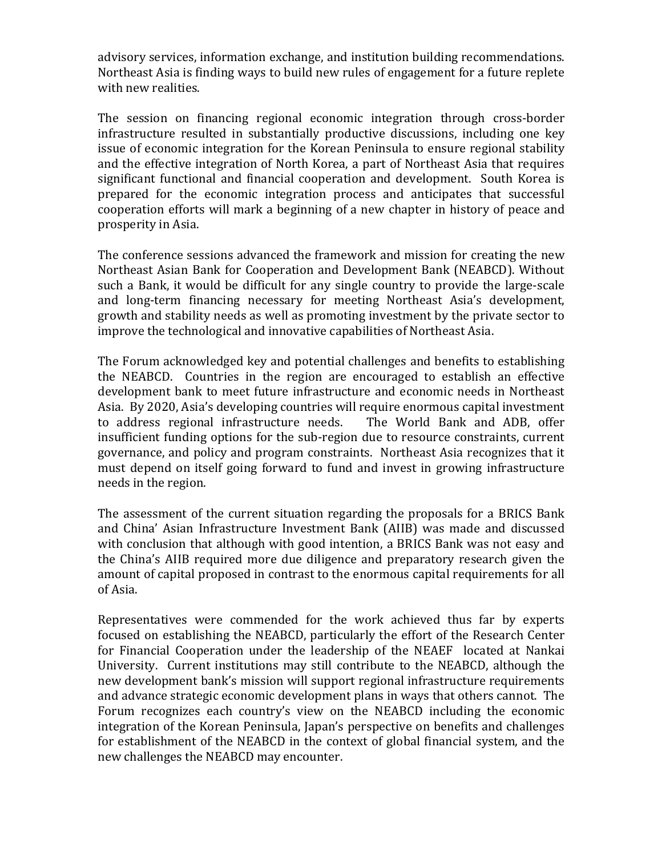advisory services, information exchange, and institution building recommendations. Northeast Asia is finding ways to build new rules of engagement for a future replete with new realities.

The session on financing regional economic integration through cross-border infrastructure resulted in substantially productive discussions, including one key issue of economic integration for the Korean Peninsula to ensure regional stability and the effective integration of North Korea, a part of Northeast Asia that requires significant functional and financial cooperation and development. South Korea is prepared for the economic integration process and anticipates that successful cooperation efforts will mark a beginning of a new chapter in history of peace and prosperity in Asia.

The conference sessions advanced the framework and mission for creating the new Northeast Asian Bank for Cooperation and Development Bank (NEABCD). Without such a Bank, it would be difficult for any single country to provide the large-scale and long-term financing necessary for meeting Northeast Asia's development, growth and stability needs as well as promoting investment by the private sector to improve the technological and innovative capabilities of Northeast Asia.

The Forum acknowledged key and potential challenges and benefits to establishing the NEABCD. Countries in the region are encouraged to establish an effective development bank to meet future infrastructure and economic needs in Northeast Asia. By 2020, Asia's developing countries will require enormous capital investment to address regional infrastructure needs. The World Bank and ADB, offer insufficient funding options for the sub-region due to resource constraints, current governance, and policy and program constraints. Northeast Asia recognizes that it must depend on itself going forward to fund and invest in growing infrastructure needs in the region.

The assessment of the current situation regarding the proposals for a BRICS Bank and China' Asian Infrastructure Investment Bank (AIIB) was made and discussed with conclusion that although with good intention, a BRICS Bank was not easy and the China's AIIB required more due diligence and preparatory research given the amount of capital proposed in contrast to the enormous capital requirements for all of Asia.

Representatives were commended for the work achieved thus far by experts focused on establishing the NEABCD, particularly the effort of the Research Center for Financial Cooperation under the leadership of the NEAEF located at Nankai University. Current institutions may still contribute to the NEABCD, although the new development bank's mission will support regional infrastructure requirements and advance strategic economic development plans in ways that others cannot. The Forum recognizes each country's view on the NEABCD including the economic integration of the Korean Peninsula, Japan's perspective on benefits and challenges for establishment of the NEABCD in the context of global financial system, and the new challenges the NEABCD may encounter.